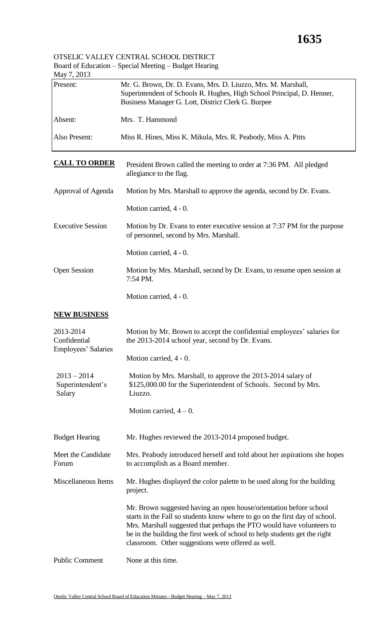| Doard of Education Special Meeting<br>May 7, 2013                                               | Duugu Rumma                                                                                                                                                                                                                                                                                                                                                    |
|-------------------------------------------------------------------------------------------------|----------------------------------------------------------------------------------------------------------------------------------------------------------------------------------------------------------------------------------------------------------------------------------------------------------------------------------------------------------------|
| Present:                                                                                        | Mr. G. Brown, Dr. D. Evans, Mrs. D. Liuzzo, Mrs. M. Marshall,<br>Superintendent of Schools R. Hughes, High School Principal, D. Henner,<br>Business Manager G. Lott, District Clerk G. Burpee                                                                                                                                                                  |
| Absent:                                                                                         | Mrs. T. Hammond                                                                                                                                                                                                                                                                                                                                                |
| Also Present:                                                                                   | Miss R. Hines, Miss K. Mikula, Mrs. R. Peabody, Miss A. Pitts                                                                                                                                                                                                                                                                                                  |
| <b>CALL TO ORDER</b>                                                                            | President Brown called the meeting to order at 7:36 PM. All pledged<br>allegiance to the flag.                                                                                                                                                                                                                                                                 |
| Approval of Agenda                                                                              | Motion by Mrs. Marshall to approve the agenda, second by Dr. Evans.                                                                                                                                                                                                                                                                                            |
|                                                                                                 | Motion carried, 4 - 0.                                                                                                                                                                                                                                                                                                                                         |
| <b>Executive Session</b>                                                                        | Motion by Dr. Evans to enter executive session at 7:37 PM for the purpose<br>of personnel, second by Mrs. Marshall.                                                                                                                                                                                                                                            |
|                                                                                                 | Motion carried, 4 - 0.                                                                                                                                                                                                                                                                                                                                         |
| <b>Open Session</b>                                                                             | Motion by Mrs. Marshall, second by Dr. Evans, to resume open session at<br>7:54 PM.                                                                                                                                                                                                                                                                            |
|                                                                                                 | Motion carried, 4 - 0.                                                                                                                                                                                                                                                                                                                                         |
| <b>NEW BUSINESS</b>                                                                             |                                                                                                                                                                                                                                                                                                                                                                |
| 2013-2014<br>Confidential<br>Employees' Salaries<br>$2013 - 2014$<br>Superintendent's<br>Salary | Motion by Mr. Brown to accept the confidential employees' salaries for<br>the 2013-2014 school year, second by Dr. Evans.                                                                                                                                                                                                                                      |
|                                                                                                 | Motion carried, 4 - 0.                                                                                                                                                                                                                                                                                                                                         |
|                                                                                                 | Motion by Mrs. Marshall, to approve the 2013-2014 salary of<br>\$125,000.00 for the Superintendent of Schools. Second by Mrs.<br>Liuzzo.                                                                                                                                                                                                                       |
|                                                                                                 | Motion carried, $4 - 0$ .                                                                                                                                                                                                                                                                                                                                      |
| <b>Budget Hearing</b>                                                                           | Mr. Hughes reviewed the 2013-2014 proposed budget.                                                                                                                                                                                                                                                                                                             |
| Meet the Candidate<br>Forum                                                                     | Mrs. Peabody introduced herself and told about her aspirations she hopes<br>to accomplish as a Board member.                                                                                                                                                                                                                                                   |
| Miscellaneous Items                                                                             | Mr. Hughes displayed the color palette to be used along for the building<br>project.                                                                                                                                                                                                                                                                           |
|                                                                                                 | Mr. Brown suggested having an open house/orientation before school<br>starts in the Fall so students know where to go on the first day of school.<br>Mrs. Marshall suggested that perhaps the PTO would have volunteers to<br>be in the building the first week of school to help students get the right<br>classroom. Other suggestions were offered as well. |
| <b>Public Comment</b>                                                                           | None at this time.                                                                                                                                                                                                                                                                                                                                             |

## OTSELIC VALLEY CENTRAL SCHOOL DISTRICT Board of Education – Special Meeting – Budget Hearing